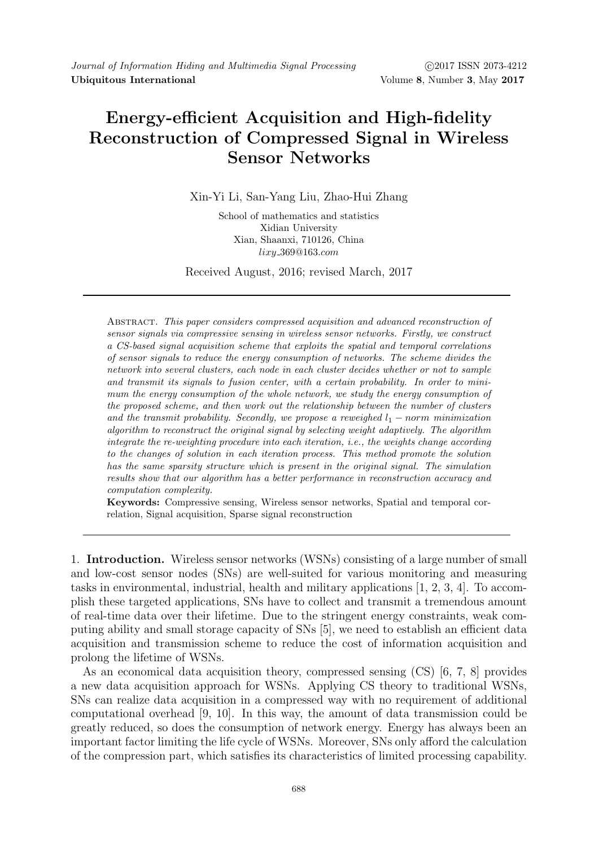# Energy-efficient Acquisition and High-fidelity Reconstruction of Compressed Signal in Wireless Sensor Networks

Xin-Yi Li, San-Yang Liu, Zhao-Hui Zhang

School of mathematics and statistics Xidian University Xian, Shaanxi, 710126, China lixy 369@163.com

Received August, 2016; revised March, 2017

Abstract. This paper considers compressed acquisition and advanced reconstruction of sensor signals via compressive sensing in wireless sensor networks. Firstly, we construct a CS-based signal acquisition scheme that exploits the spatial and temporal correlations of sensor signals to reduce the energy consumption of networks. The scheme divides the network into several clusters, each node in each cluster decides whether or not to sample and transmit its signals to fusion center, with a certain probability. In order to minimum the energy consumption of the whole network, we study the energy consumption of the proposed scheme, and then work out the relationship between the number of clusters and the transmit probability. Secondly, we propose a reweighed  $l_1$  – norm minimization algorithm to reconstruct the original signal by selecting weight adaptively. The algorithm integrate the re-weighting procedure into each iteration, i.e., the weights change according to the changes of solution in each iteration process. This method promote the solution has the same sparsity structure which is present in the original signal. The simulation results show that our algorithm has a better performance in reconstruction accuracy and computation complexity.

Keywords: Compressive sensing, Wireless sensor networks, Spatial and temporal correlation, Signal acquisition, Sparse signal reconstruction

1. Introduction. Wireless sensor networks (WSNs) consisting of a large number of small and low-cost sensor nodes (SNs) are well-suited for various monitoring and measuring tasks in environmental, industrial, health and military applications [1, 2, 3, 4]. To accomplish these targeted applications, SNs have to collect and transmit a tremendous amount of real-time data over their lifetime. Due to the stringent energy constraints, weak computing ability and small storage capacity of SNs [5], we need to establish an efficient data acquisition and transmission scheme to reduce the cost of information acquisition and prolong the lifetime of WSNs.

As an economical data acquisition theory, compressed sensing (CS) [6, 7, 8] provides a new data acquisition approach for WSNs. Applying CS theory to traditional WSNs, SNs can realize data acquisition in a compressed way with no requirement of additional computational overhead [9, 10]. In this way, the amount of data transmission could be greatly reduced, so does the consumption of network energy. Energy has always been an important factor limiting the life cycle of WSNs. Moreover, SNs only afford the calculation of the compression part, which satisfies its characteristics of limited processing capability.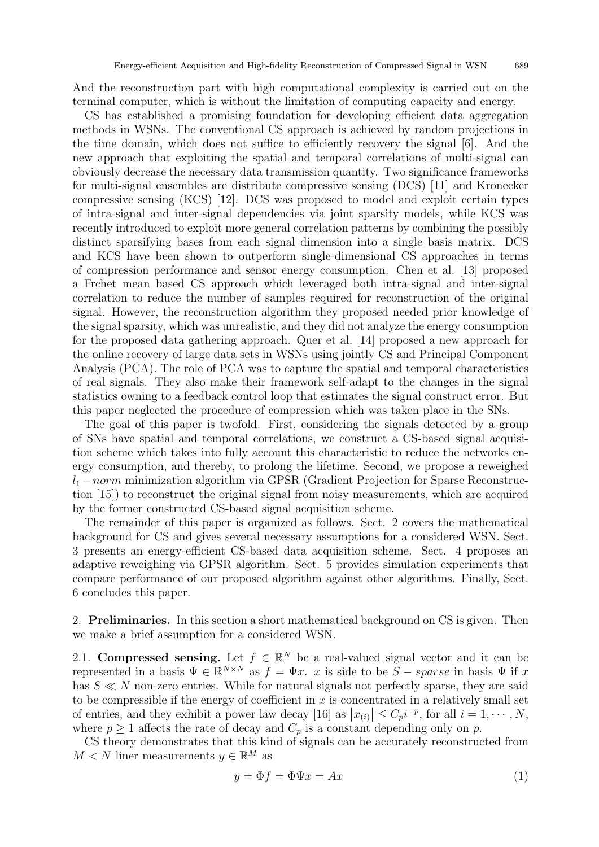And the reconstruction part with high computational complexity is carried out on the terminal computer, which is without the limitation of computing capacity and energy.

CS has established a promising foundation for developing efficient data aggregation methods in WSNs. The conventional CS approach is achieved by random projections in the time domain, which does not suffice to efficiently recovery the signal [6]. And the new approach that exploiting the spatial and temporal correlations of multi-signal can obviously decrease the necessary data transmission quantity. Two significance frameworks for multi-signal ensembles are distribute compressive sensing (DCS) [11] and Kronecker compressive sensing (KCS) [12]. DCS was proposed to model and exploit certain types of intra-signal and inter-signal dependencies via joint sparsity models, while KCS was recently introduced to exploit more general correlation patterns by combining the possibly distinct sparsifying bases from each signal dimension into a single basis matrix. DCS and KCS have been shown to outperform single-dimensional CS approaches in terms of compression performance and sensor energy consumption. Chen et al. [13] proposed a Frchet mean based CS approach which leveraged both intra-signal and inter-signal correlation to reduce the number of samples required for reconstruction of the original signal. However, the reconstruction algorithm they proposed needed prior knowledge of the signal sparsity, which was unrealistic, and they did not analyze the energy consumption for the proposed data gathering approach. Quer et al. [14] proposed a new approach for the online recovery of large data sets in WSNs using jointly CS and Principal Component Analysis (PCA). The role of PCA was to capture the spatial and temporal characteristics of real signals. They also make their framework self-adapt to the changes in the signal statistics owning to a feedback control loop that estimates the signal construct error. But this paper neglected the procedure of compression which was taken place in the SNs.

The goal of this paper is twofold. First, considering the signals detected by a group of SNs have spatial and temporal correlations, we construct a CS-based signal acquisition scheme which takes into fully account this characteristic to reduce the networks energy consumption, and thereby, to prolong the lifetime. Second, we propose a reweighed  $l_1$  – norm minimization algorithm via GPSR (Gradient Projection for Sparse Reconstruction [15]) to reconstruct the original signal from noisy measurements, which are acquired by the former constructed CS-based signal acquisition scheme.

The remainder of this paper is organized as follows. Sect. 2 covers the mathematical background for CS and gives several necessary assumptions for a considered WSN. Sect. 3 presents an energy-efficient CS-based data acquisition scheme. Sect. 4 proposes an adaptive reweighing via GPSR algorithm. Sect. 5 provides simulation experiments that compare performance of our proposed algorithm against other algorithms. Finally, Sect. 6 concludes this paper.

2. Preliminaries. In this section a short mathematical background on CS is given. Then we make a brief assumption for a considered WSN.

2.1. Compressed sensing. Let  $f \in \mathbb{R}^N$  be a real-valued signal vector and it can be represented in a basis  $\Psi \in \mathbb{R}^{N \times N}$  as  $f = \Psi x$ . x is side to be  $S - sparse$  in basis  $\Psi$  if x has  $S \ll N$  non-zero entries. While for natural signals not perfectly sparse, they are said to be compressible if the energy of coefficient in  $x$  is concentrated in a relatively small set of entries, and they exhibit a power law decay [16] as  $|x_{(i)}| \leq C_p i^{-p}$ , for all  $i = 1, \dots, N$ , where  $p \ge 1$  affects the rate of decay and  $C_p$  is a constant depending only on p.

CS theory demonstrates that this kind of signals can be accurately reconstructed from  $M < N$  liner measurements  $y \in \mathbb{R}^M$  as

$$
y = \Phi f = \Phi \Psi x = Ax \tag{1}
$$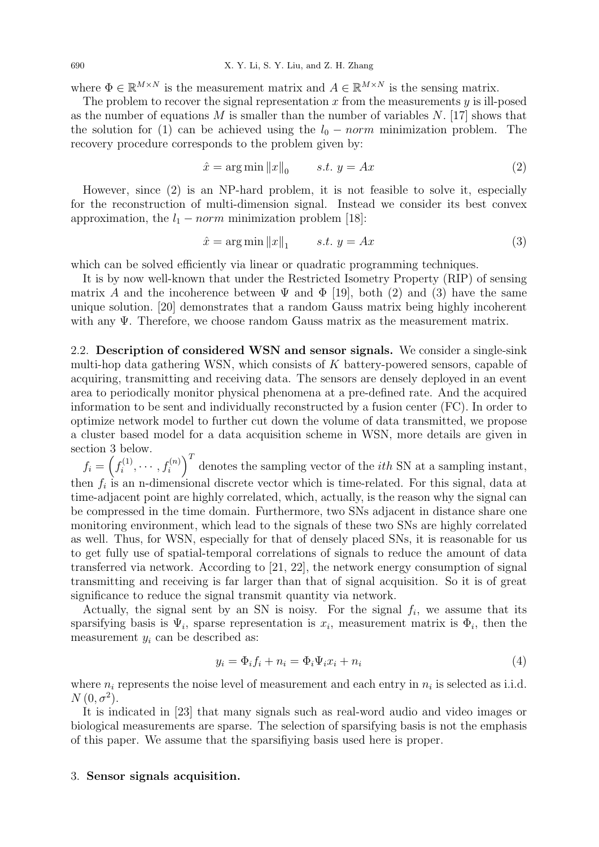where  $\Phi \in \mathbb{R}^{M \times N}$  is the measurement matrix and  $A \in \mathbb{R}^{M \times N}$  is the sensing matrix.

The problem to recover the signal representation  $x$  from the measurements  $y$  is ill-posed as the number of equations M is smaller than the number of variables  $N$ . [17] shows that the solution for (1) can be achieved using the  $l_0 - norm$  minimization problem. The recovery procedure corresponds to the problem given by:

$$
\hat{x} = \arg\min \|x\|_0 \qquad s.t. \ y = Ax \tag{2}
$$

However, since (2) is an NP-hard problem, it is not feasible to solve it, especially for the reconstruction of multi-dimension signal. Instead we consider its best convex approximation, the  $l_1$  – norm minimization problem [18]:

$$
\hat{x} = \arg\min \|x\|_1 \qquad s.t. \ y = Ax \tag{3}
$$

which can be solved efficiently via linear or quadratic programming techniques.

It is by now well-known that under the Restricted Isometry Property (RIP) of sensing matrix A and the incoherence between  $\Psi$  and  $\Phi$  [19], both (2) and (3) have the same unique solution. [20] demonstrates that a random Gauss matrix being highly incoherent with any Ψ. Therefore, we choose random Gauss matrix as the measurement matrix.

2.2. Description of considered WSN and sensor signals. We consider a single-sink multi-hop data gathering WSN, which consists of  $K$  battery-powered sensors, capable of acquiring, transmitting and receiving data. The sensors are densely deployed in an event area to periodically monitor physical phenomena at a pre-defined rate. And the acquired information to be sent and individually reconstructed by a fusion center (FC). In order to optimize network model to further cut down the volume of data transmitted, we propose a cluster based model for a data acquisition scheme in WSN, more details are given in section 3 below.

 $f_i = \left(f_i^{(1)}\right)$  $\left(x_i^{(1)}, \cdots, f_i^{(n)}\right)^T$  denotes the sampling vector of the *ith* SN at a sampling instant, then  $f_i$  is an n-dimensional discrete vector which is time-related. For this signal, data at time-adjacent point are highly correlated, which, actually, is the reason why the signal can be compressed in the time domain. Furthermore, two SNs adjacent in distance share one monitoring environment, which lead to the signals of these two SNs are highly correlated as well. Thus, for WSN, especially for that of densely placed SNs, it is reasonable for us to get fully use of spatial-temporal correlations of signals to reduce the amount of data transferred via network. According to [21, 22], the network energy consumption of signal transmitting and receiving is far larger than that of signal acquisition. So it is of great significance to reduce the signal transmit quantity via network.

Actually, the signal sent by an SN is noisy. For the signal  $f_i$ , we assume that its sparsifying basis is  $\Psi_i$ , sparse representation is  $x_i$ , measurement matrix is  $\Phi_i$ , then the measurement  $y_i$  can be described as:

$$
y_i = \Phi_i f_i + n_i = \Phi_i \Psi_i x_i + n_i \tag{4}
$$

where  $n_i$  represents the noise level of measurement and each entry in  $n_i$  is selected as i.i.d.  $N(0, \sigma^2)$ .

It is indicated in [23] that many signals such as real-word audio and video images or biological measurements are sparse. The selection of sparsifying basis is not the emphasis of this paper. We assume that the sparsifiying basis used here is proper.

### 3. Sensor signals acquisition.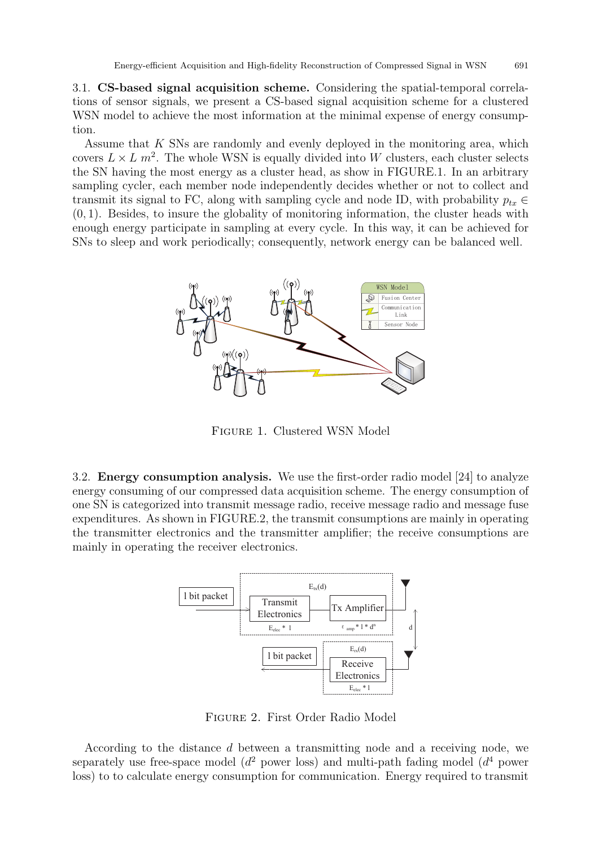3.1. CS-based signal acquisition scheme. Considering the spatial-temporal correlations of sensor signals, we present a CS-based signal acquisition scheme for a clustered WSN model to achieve the most information at the minimal expense of energy consumption.

Assume that K SNs are randomly and evenly deployed in the monitoring area, which covers  $L \times L$   $m^2$ . The whole WSN is equally divided into W clusters, each cluster selects the SN having the most energy as a cluster head, as show in FIGURE.1. In an arbitrary sampling cycler, each member node independently decides whether or not to collect and transmit its signal to FC, along with sampling cycle and node ID, with probability  $p_{tx} \in$  $(0, 1)$ . Besides, to insure the globality of monitoring information, the cluster heads with enough energy participate in sampling at every cycle. In this way, it can be achieved for SNs to sleep and work periodically; consequently, network energy can be balanced well.



Figure 1. Clustered WSN Model

3.2. Energy consumption analysis. We use the first-order radio model [24] to analyze energy consuming of our compressed data acquisition scheme. The energy consumption of one SN is categorized into transmit message radio, receive message radio and message fuse expenditures. As shown in FIGURE.2, the transmit consumptions are mainly in operating the transmitter electronics and the transmitter amplifier; the receive consumptions are mainly in operating the receiver electronics.



Figure 2. First Order Radio Model

According to the distance d between a transmitting node and a receiving node, we separately use free-space model ( $d^2$  power loss) and multi-path fading model ( $d^4$  power loss) to to calculate energy consumption for communication. Energy required to transmit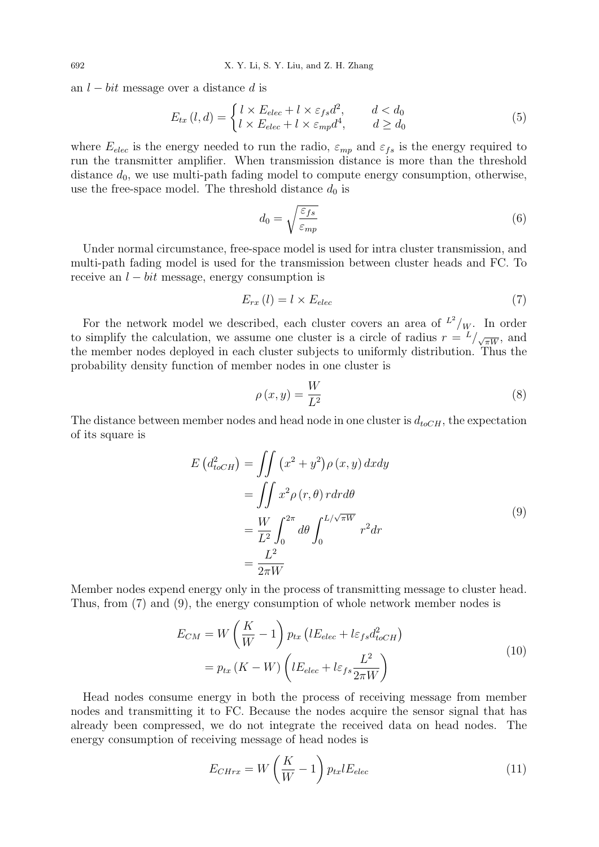an  $l - bit$  message over a distance d is

$$
E_{tx} (l,d) = \begin{cases} l \times E_{elec} + l \times \varepsilon_{fs} d^2, & d < d_0 \\ l \times E_{elec} + l \times \varepsilon_{mp} d^4, & d \ge d_0 \end{cases}
$$
(5)

where  $E_{elec}$  is the energy needed to run the radio,  $\varepsilon_{mp}$  and  $\varepsilon_{fs}$  is the energy required to run the transmitter amplifier. When transmission distance is more than the threshold distance  $d_0$ , we use multi-path fading model to compute energy consumption, otherwise, use the free-space model. The threshold distance  $d_0$  is

$$
d_0 = \sqrt{\frac{\varepsilon_{fs}}{\varepsilon_{mp}}} \tag{6}
$$

Under normal circumstance, free-space model is used for intra cluster transmission, and multi-path fading model is used for the transmission between cluster heads and FC. To receive an  $l - bit$  message, energy consumption is

$$
E_{rx}(l) = l \times E_{elec} \tag{7}
$$

For the network model we described, each cluster covers an area of  $L^2/w$ . In order to simplify the calculation, we assume one cluster is a circle of radius  $r = L/\sqrt{\pi W}$ , and the member nodes deployed in each cluster subjects to uniformly distribution. Thus the probability density function of member nodes in one cluster is

$$
\rho(x,y) = \frac{W}{L^2} \tag{8}
$$

The distance between member nodes and head node in one cluster is  $d_{toCH}$ , the expectation of its square is

$$
E(d_{toCH}^2) = \iint (x^2 + y^2) \rho(x, y) dx dy
$$
  
= 
$$
\iint x^2 \rho(r, \theta) r dr d\theta
$$
  
= 
$$
\frac{W}{L^2} \int_0^{2\pi} d\theta \int_0^{L/\sqrt{\pi W}} r^2 dr
$$
  
= 
$$
\frac{L^2}{2\pi W}
$$
 (9)

Member nodes expend energy only in the process of transmitting message to cluster head. Thus, from (7) and (9), the energy consumption of whole network member nodes is

$$
E_{CM} = W\left(\frac{K}{W} - 1\right) p_{tx} \left(lE_{elec} + l\varepsilon_{fs}d_{toCH}^2\right)
$$
  
=  $p_{tx} \left(K - W\right) \left(lE_{elec} + l\varepsilon_{fs} \frac{L^2}{2\pi W}\right)$  (10)

Head nodes consume energy in both the process of receiving message from member nodes and transmitting it to FC. Because the nodes acquire the sensor signal that has already been compressed, we do not integrate the received data on head nodes. The energy consumption of receiving message of head nodes is

$$
E_{CHrx} = W\left(\frac{K}{W} - 1\right) p_{tx} l E_{elec}
$$
\n(11)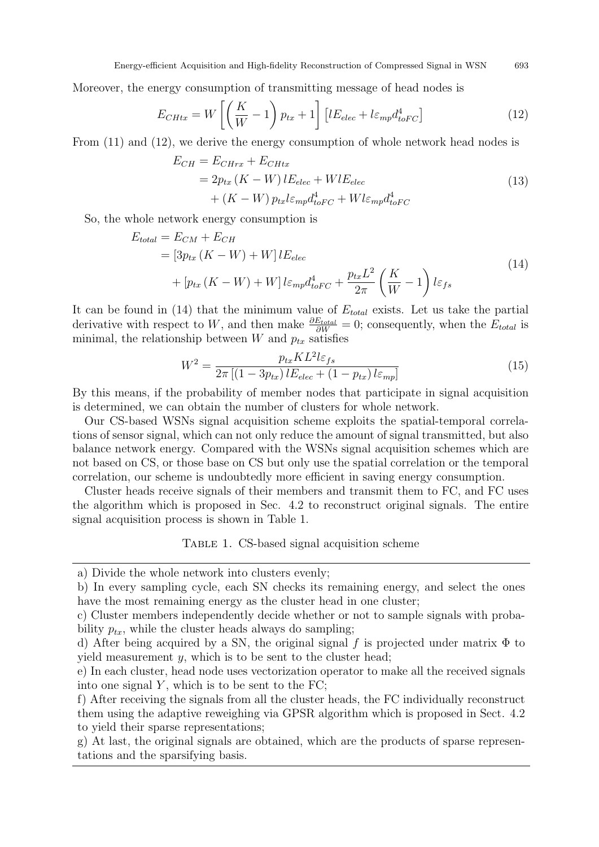Moreover, the energy consumption of transmitting message of head nodes is

$$
E_{CHtx} = W \left[ \left( \frac{K}{W} - 1 \right) p_{tx} + 1 \right] \left[ lE_{elec} + l\varepsilon_{mp} d_{toFC}^4 \right] \tag{12}
$$

From (11) and (12), we derive the energy consumption of whole network head nodes is

$$
E_{CH} = E_{CHrx} + E_{CHtx}
$$
  
=  $2p_{tx} (K - W) l E_{elec} + W l E_{elec}$   
+  $(K - W) p_{tx} l \varepsilon_{mp} d_{toFC}^4 + W l \varepsilon_{mp} d_{toFC}^4$  (13)

So, the whole network energy consumption is

$$
E_{total} = E_{CM} + E_{CH}
$$
  
=  $[3p_{tx}(K - W) + W]lE_{elec}$   
+  $[p_{tx}(K - W) + W]l\varepsilon_{mp}d_{toFC}^4 + \frac{p_{tx}L^2}{2\pi}(\frac{K}{W} - 1)l\varepsilon_{fs}$  (14)

It can be found in (14) that the minimum value of  $E_{total}$  exists. Let us take the partial derivative with respect to W, and then make  $\frac{\partial E_{total}}{\partial W} = 0$ ; consequently, when the  $E_{total}$  is minimal, the relationship between  $W$  and  $p_{tx}$  satisfies

$$
W^2 = \frac{p_{tx}KL^2l\varepsilon_{fs}}{2\pi\left[(1-3p_{tx})lE_{elec} + (1-p_{tx})l\varepsilon_{mp}\right]}
$$
(15)

By this means, if the probability of member nodes that participate in signal acquisition is determined, we can obtain the number of clusters for whole network.

Our CS-based WSNs signal acquisition scheme exploits the spatial-temporal correlations of sensor signal, which can not only reduce the amount of signal transmitted, but also balance network energy. Compared with the WSNs signal acquisition schemes which are not based on CS, or those base on CS but only use the spatial correlation or the temporal correlation, our scheme is undoubtedly more efficient in saving energy consumption.

Cluster heads receive signals of their members and transmit them to FC, and FC uses the algorithm which is proposed in Sec. 4.2 to reconstruct original signals. The entire signal acquisition process is shown in Table 1.

#### TABLE 1. CS-based signal acquisition scheme

g) At last, the original signals are obtained, which are the products of sparse representations and the sparsifying basis.

a) Divide the whole network into clusters evenly;

b) In every sampling cycle, each SN checks its remaining energy, and select the ones have the most remaining energy as the cluster head in one cluster;

c) Cluster members independently decide whether or not to sample signals with probability  $p_{tx}$ , while the cluster heads always do sampling;

d) After being acquired by a SN, the original signal f is projected under matrix  $\Phi$  to yield measurement  $y$ , which is to be sent to the cluster head;

e) In each cluster, head node uses vectorization operator to make all the received signals into one signal  $Y$ , which is to be sent to the  $FC$ ;

f) After receiving the signals from all the cluster heads, the FC individually reconstruct them using the adaptive reweighing via GPSR algorithm which is proposed in Sect. 4.2 to yield their sparse representations;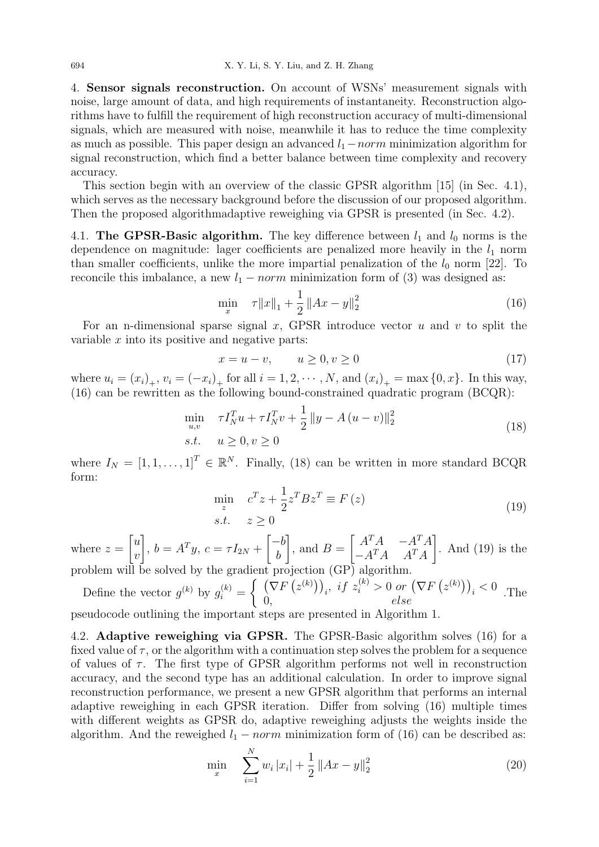4. Sensor signals reconstruction. On account of WSNs' measurement signals with noise, large amount of data, and high requirements of instantaneity. Reconstruction algorithms have to fulfill the requirement of high reconstruction accuracy of multi-dimensional signals, which are measured with noise, meanwhile it has to reduce the time complexity as much as possible. This paper design an advanced  $l_1$  − norm minimization algorithm for signal reconstruction, which find a better balance between time complexity and recovery accuracy.

This section begin with an overview of the classic GPSR algorithm [15] (in Sec. 4.1), which serves as the necessary background before the discussion of our proposed algorithm. Then the proposed algorithmadaptive reweighing via GPSR is presented (in Sec. 4.2).

4.1. The GPSR-Basic algorithm. The key difference between  $l_1$  and  $l_0$  norms is the dependence on magnitude: lager coefficients are penalized more heavily in the  $l_1$  norm than smaller coefficients, unlike the more impartial penalization of the  $l_0$  norm [22]. To reconcile this imbalance, a new  $l_1$  – norm minimization form of (3) was designed as:

$$
\min_{x} \quad \tau \|x\|_{1} + \frac{1}{2} \|Ax - y\|_{2}^{2} \tag{16}
$$

For an n-dimensional sparse signal x, GPSR introduce vector u and v to split the variable  $x$  into its positive and negative parts:

$$
x = u - v, \qquad u \ge 0, v \ge 0 \tag{17}
$$

where  $u_i = (x_i)_+, v_i = (-x_i)_+$  for all  $i = 1, 2, \dots, N$ , and  $(x_i)_+ = \max\{0, x\}$ . In this way, (16) can be rewritten as the following bound-constrained quadratic program (BCQR):

$$
\min_{u,v} \quad \tau I_N^T u + \tau I_N^T v + \frac{1}{2} \|y - A(u - v)\|_2^2
$$
\n
$$
s.t. \quad u \ge 0, v \ge 0
$$
\n(18)

where  $I_N = [1, 1, \ldots, 1]^T \in \mathbb{R}^N$ . Finally, (18) can be written in more standard BCQR form:

$$
\min_{z} \quad c^{T}z + \frac{1}{2}z^{T}Bz^{T} \equiv F(z) \ns.t. \quad z \ge 0
$$
\n(19)

where  $z =$  $\lceil u \rceil$  $\overline{v}$  $\Big]$ ,  $b = A^T y$ ,  $c = \tau I_{2N} +$  $\lceil -b$ b ┨ , and  $B =$  $\begin{bmatrix} A^T A & -A^T A \end{bmatrix}$  $-A^T A$   $A^T A$ ] . And (19) is the problem will be solved by the gradient projection  $(GP)$  algorithm.

Define the vector 
$$
g^{(k)}
$$
 by  $g_i^{(k)} = \begin{cases} (\nabla F(z^{(k)}))_i, & \text{if } z_i^{(k)} > 0 \text{ or } (\nabla F(z^{(k)}))_i < 0 \\ 0, & \text{else} \end{cases}$ . The  
pseudocode outlining the important steps are presented in Algorithm 1

 $e$  important steps are presented in Algorithm 1.

4.2. Adaptive reweighing via GPSR. The GPSR-Basic algorithm solves (16) for a fixed value of  $\tau$ , or the algorithm with a continuation step solves the problem for a sequence of values of  $\tau$ . The first type of GPSR algorithm performs not well in reconstruction accuracy, and the second type has an additional calculation. In order to improve signal reconstruction performance, we present a new GPSR algorithm that performs an internal adaptive reweighing in each GPSR iteration. Differ from solving (16) multiple times with different weights as GPSR do, adaptive reweighing adjusts the weights inside the algorithm. And the reweighed  $l_1 - norm$  minimization form of (16) can be described as:

$$
\min_{x} \quad \sum_{i=1}^{N} w_i |x_i| + \frac{1}{2} \|Ax - y\|_2^2 \tag{20}
$$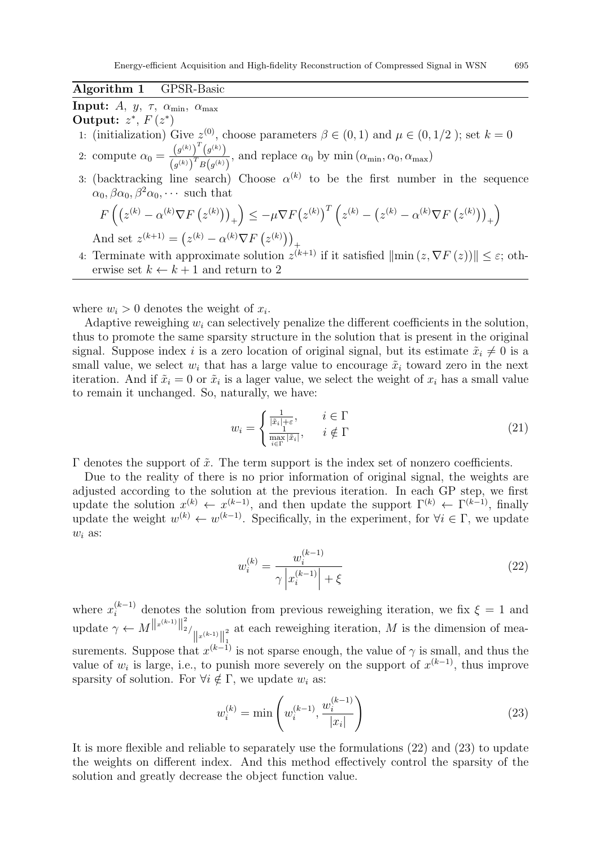Algorithm 1 GPSR-Basic

Input: A,  $y$ ,  $\tau$ ,  $\alpha_{\min}$ ,  $\alpha_{\max}$ 

Output:  $z^*$ ,  $F(z^*)$ 

- 1: (initialization) Give  $z^{(0)}$ , choose parameters  $\beta \in (0,1)$  and  $\mu \in (0,1/2)$ ; set  $k=0$
- 2: compute  $\alpha_0 = \frac{(g^{(k)})^T (g^{(k)})}{(g^{(k)})^T P^{(k)}}$  $\frac{(\mathcal{G}^{(k)})^T \mathcal{G}^{(k)}(y)}{(\mathcal{G}^{(k)})^T B(\mathcal{G}^{(k)})}$ , and replace  $\alpha_0$  by min  $(\alpha_{\min}, \alpha_0, \alpha_{\max})$
- 3: (backtracking line search) Choose  $\alpha^{(k)}$  to be the first number in the sequence  $\alpha_0, \beta \alpha_0, \beta^2 \alpha_0, \cdots$  such that

$$
F\left(\left(z^{(k)} - \alpha^{(k)}\nabla F\left(z^{(k)}\right)\right)_+\right) \le -\mu \nabla F\left(z^{(k)}\right)^T \left(z^{(k)} - \left(z^{(k)} - \alpha^{(k)}\nabla F\left(z^{(k)}\right)\right)_+\right)
$$

And set  $z^{(k+1)} = (z^{(k)} - \alpha^{(k)} \nabla F(z^{(k)}))_+$ 

4: Terminate with approximate solution  $z^{(k+1)}$  if it satisfied  $\|\min(z, \nabla F(z))\| \leq \varepsilon$ ; otherwise set  $k \leftarrow k + 1$  and return to 2

where  $w_i > 0$  denotes the weight of  $x_i$ .

Adaptive reweighing  $w_i$  can selectively penalize the different coefficients in the solution, thus to promote the same sparsity structure in the solution that is present in the original signal. Suppose index i is a zero location of original signal, but its estimate  $\tilde{x}_i \neq 0$  is a small value, we select  $w_i$  that has a large value to encourage  $\tilde{x}_i$  toward zero in the next iteration. And if  $\tilde{x}_i = 0$  or  $\tilde{x}_i$  is a lager value, we select the weight of  $x_i$  has a small value to remain it unchanged. So, naturally, we have:

$$
w_i = \begin{cases} \frac{1}{|\tilde{x}_i| + \varepsilon}, & i \in \Gamma\\ \frac{1}{\max\limits_{i \in \Gamma} |\tilde{x}_i|}, & i \notin \Gamma \end{cases}
$$
(21)

 $Γ$  denotes the support of  $\tilde{x}$ . The term support is the index set of nonzero coefficients.

Due to the reality of there is no prior information of original signal, the weights are adjusted according to the solution at the previous iteration. In each GP step, we first update the solution  $x^{(k)} \leftarrow x^{(k-1)}$ , and then update the support  $\Gamma^{(k)} \leftarrow \Gamma^{(k-1)}$ , finally update the weight  $w^{(k)} \leftarrow w^{(k-1)}$ . Specifically, in the experiment, for  $\forall i \in \Gamma$ , we update  $w_i$  as:

$$
w_i^{(k)} = \frac{w_i^{(k-1)}}{\gamma \left| x_i^{(k-1)} \right| + \xi} \tag{22}
$$

where  $x_i^{(k-1)}$  denotes the solution from previous reweighing iteration, we fix  $\xi = 1$  and update  $\gamma \leftarrow M^{\|x^{(k-1)}\|_2^2}$  $\|x^{(k-1)}\|_1^2$ 1 at each reweighing iteration,  $M$  is the dimension of measurements. Suppose that  $x^{(k-1)}$  is not sparse enough, the value of  $\gamma$  is small, and thus the value of  $w_i$  is large, i.e., to punish more severely on the support of  $x^{(k-1)}$ , thus improve sparsity of solution. For  $\forall i \notin \Gamma$ , we update  $w_i$  as:

$$
w_i^{(k)} = \min\left(w_i^{(k-1)}, \frac{w_i^{(k-1)}}{|x_i|}\right)
$$
\n(23)

It is more flexible and reliable to separately use the formulations (22) and (23) to update the weights on different index. And this method effectively control the sparsity of the solution and greatly decrease the object function value.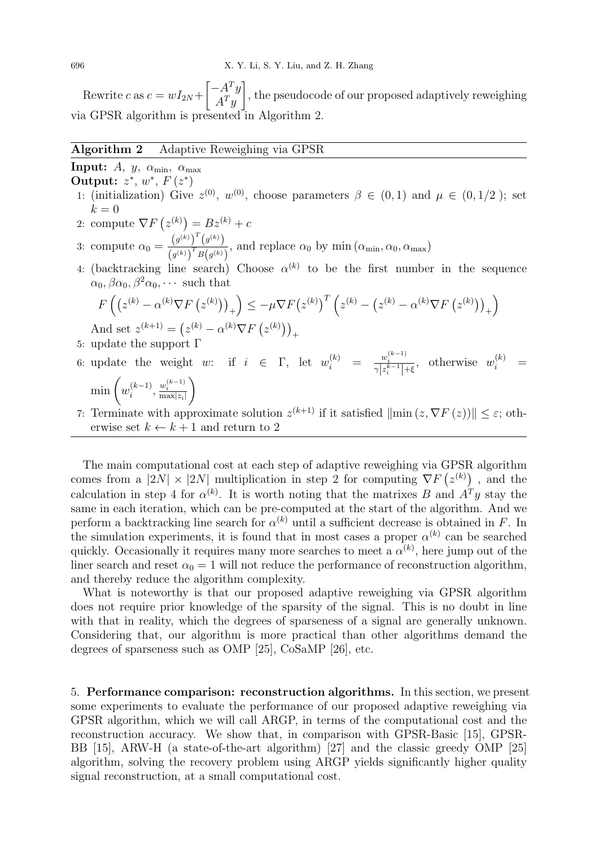Rewrite c as  $c = wI_{2N} +$  $\int -A^T y$  $A^T y$ 1 , the pseudocode of our proposed adaptively reweighing via GPSR algorithm is presented in Algorithm 2.

## Algorithm 2 Adaptive Reweighing via GPSR

Input: A, y,  $\alpha_{\min}$ ,  $\alpha_{\max}$ Output:  $z^*, w^*, F(z^*)$ 

- 1: (initialization) Give  $z^{(0)}$ ,  $w^{(0)}$ , choose parameters  $\beta \in (0,1)$  and  $\mu \in (0,1/2)$ ; set  $k = 0$
- 2: compute  $\nabla F(z^{(k)}) = Bz^{(k)} + c$
- 3: compute  $\alpha_0 = \frac{(g^{(k)})^T (g^{(k)})}{(g^{(k)})^T P^{(k)}}$  $\frac{(g^{(k)})^T (g^{(k)})^T}{(g^{(k)})^T B(g^{(k)})}$ , and replace  $\alpha_0$  by min  $(\alpha_{\min}, \alpha_0, \alpha_{\max})$
- 4: (backtracking line search) Choose  $\alpha^{(k)}$  to be the first number in the sequence  $\alpha_0, \beta \alpha_0, \beta^2 \alpha_0, \cdots$  such that

$$
F\left(\left(z^{(k)} - \alpha^{(k)}\nabla F\left(z^{(k)}\right)\right)_+\right) \le -\mu \nabla F\left(z^{(k)}\right)^T \left(z^{(k)} - \left(z^{(k)} - \alpha^{(k)}\nabla F\left(z^{(k)}\right)\right)_+\right)
$$
\nAnd set  $z^{(k+1)} = \left(z^{(k)} - \alpha^{(k)}\nabla F\left(z^{(k)}\right)\right)_+$ \n5: update the support  $\Gamma$ 

- 
- 6: update the weight w: if  $i \in \Gamma$ , let  $w_i^{(k)} = \frac{w_i^{(k-1)}}{\gamma |z_i^{k-1}| + \xi}$ , otherwise  $w_i^{(k)} =$  $\min\left(w_i^{(k-1)}\right)$  $\binom{k-1}{i}, \frac{w_i^{(k-1)}}{\max|z_i|}$  $\setminus$
- 7: Terminate with approximate solution  $z^{(k+1)}$  if it satisfied  $\|\min(z, \nabla F(z))\| \leq \varepsilon$ ; otherwise set  $k \leftarrow k + 1$  and return to 2

The main computational cost at each step of adaptive reweighing via GPSR algorithm comes from a  $|2N| \times |2N|$  multiplication in step 2 for computing  $\nabla F(z^{(k)})$ , and the calculation in step 4 for  $\alpha^{(k)}$ . It is worth noting that the matrixes B and  $A<sup>T</sup>y$  stay the same in each iteration, which can be pre-computed at the start of the algorithm. And we perform a backtracking line search for  $\alpha^{(k)}$  until a sufficient decrease is obtained in F. In the simulation experiments, it is found that in most cases a proper  $\alpha^{(k)}$  can be searched quickly. Occasionally it requires many more searches to meet a  $\alpha^{(k)}$ , here jump out of the liner search and reset  $\alpha_0 = 1$  will not reduce the performance of reconstruction algorithm, and thereby reduce the algorithm complexity.

What is noteworthy is that our proposed adaptive reweighing via GPSR algorithm does not require prior knowledge of the sparsity of the signal. This is no doubt in line with that in reality, which the degrees of sparseness of a signal are generally unknown. Considering that, our algorithm is more practical than other algorithms demand the degrees of sparseness such as OMP [25], CoSaMP [26], etc.

5. Performance comparison: reconstruction algorithms. In this section, we present some experiments to evaluate the performance of our proposed adaptive reweighing via GPSR algorithm, which we will call ARGP, in terms of the computational cost and the reconstruction accuracy. We show that, in comparison with GPSR-Basic [15], GPSR-BB [15], ARW-H (a state-of-the-art algorithm) [27] and the classic greedy OMP [25] algorithm, solving the recovery problem using ARGP yields significantly higher quality signal reconstruction, at a small computational cost.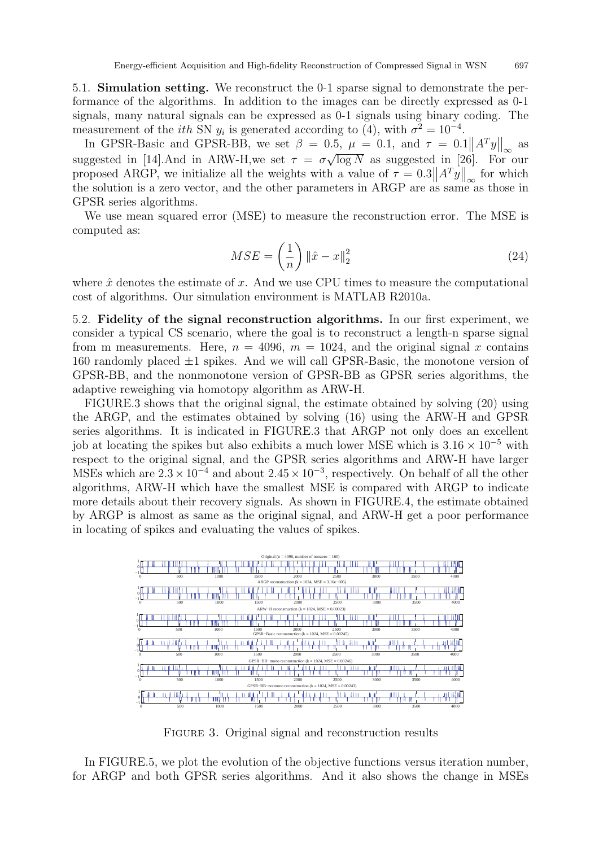5.1. Simulation setting. We reconstruct the 0-1 sparse signal to demonstrate the performance of the algorithms. In addition to the images can be directly expressed as 0-1 signals, many natural signals can be expressed as 0-1 signals using binary coding. The measurement of the *ith* SN  $y_i$  is generated according to (4), with  $\sigma^2 = 10^{-4}$ .

In GPSR-Basic and GPSR-BB, we set  $\beta = 0.5$ ,  $\mu = 0.1$ , and  $\tau = 0.1 ||A^T y||_{\infty}$  as in Gr 5n-Basic and Gr 5n-BB, we set  $\rho = 0.5$ ,  $\mu = 0.1$ , and  $\tau = 0.1$  ||A  $y_{\parallel_{\infty}}$ <br>suggested in [14].And in ARW-H, we set  $\tau = \sigma \sqrt{\log N}$  as suggested in [26]. For √  $\overline{\log N}$  as suggested in [26]. For our proposed ARGP, we initialize all the weights with a value of  $\tau = 0.3 ||A^T y||_{\infty}$  for which the solution is a zero vector, and the other parameters in ARGP are as same as those in GPSR series algorithms.

We use mean squared error (MSE) to measure the reconstruction error. The MSE is computed as:

$$
MSE = \left(\frac{1}{n}\right) \left\|\hat{x} - x\right\|_2^2 \tag{24}
$$

where  $\hat{x}$  denotes the estimate of x. And we use CPU times to measure the computational cost of algorithms. Our simulation environment is MATLAB R2010a.

5.2. Fidelity of the signal reconstruction algorithms. In our first experiment, we consider a typical CS scenario, where the goal is to reconstruct a length-n sparse signal from m measurements. Here,  $n = 4096$ ,  $m = 1024$ , and the original signal x contains 160 randomly placed  $\pm 1$  spikes. And we will call GPSR-Basic, the monotone version of GPSR-BB, and the nonmonotone version of GPSR-BB as GPSR series algorithms, the adaptive reweighing via homotopy algorithm as ARW-H.

FIGURE.3 shows that the original signal, the estimate obtained by solving (20) using the ARGP, and the estimates obtained by solving (16) using the ARW-H and GPSR series algorithms. It is indicated in FIGURE.3 that ARGP not only does an excellent job at locating the spikes but also exhibits a much lower MSE which is  $3.16 \times 10^{-5}$  with respect to the original signal, and the GPSR series algorithms and ARW-H have larger MSEs which are  $2.3 \times 10^{-4}$  and about  $2.45 \times 10^{-3}$ , respectively. On behalf of all the other algorithms, ARW-H which have the smallest MSE is compared with ARGP to indicate more details about their recovery signals. As shown in FIGURE.4, the estimate obtained by ARGP is almost as same as the original signal, and ARW-H get a poor performance in locating of spikes and evaluating the values of spikes.



FIGURE 3. Original signal and reconstruction results

In FIGURE.5, we plot the evolution of the objective functions versus iteration number, for ARGP and both GPSR series algorithms. And it also shows the change in MSEs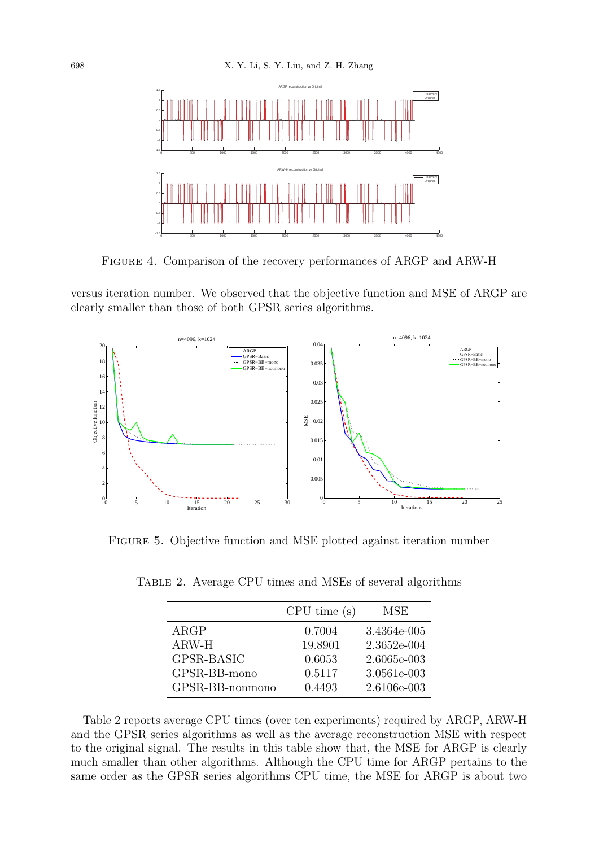

Figure 4. Comparison of the recovery performances of ARGP and ARW-H

versus iteration number. We observed that the objective function and MSE of ARGP are clearly smaller than those of both GPSR series algorithms.



Figure 5. Objective function and MSE plotted against iteration number

| TABLE 2. Average CPU times and MSEs of several algorithms |  |  |  |  |  |
|-----------------------------------------------------------|--|--|--|--|--|
|                                                           |  |  |  |  |  |

|                 | CPU time(s) | MSE         |
|-----------------|-------------|-------------|
| ARGP            | 0.7004      | 3.4364e-005 |
| $ARW-H$         | 19.8901     | 2.3652e-004 |
| GPSR-BASIC      | 0.6053      | 2.6065e-003 |
| GPSR-BB-mono    | 0.5117      | 3.0561e-003 |
| GPSR-BB-nonmono | 0.4493      | 2.6106e-003 |

Table 2 reports average CPU times (over ten experiments) required by ARGP, ARW-H and the GPSR series algorithms as well as the average reconstruction MSE with respect to the original signal. The results in this table show that, the MSE for ARGP is clearly much smaller than other algorithms. Although the CPU time for ARGP pertains to the same order as the GPSR series algorithms CPU time, the MSE for ARGP is about two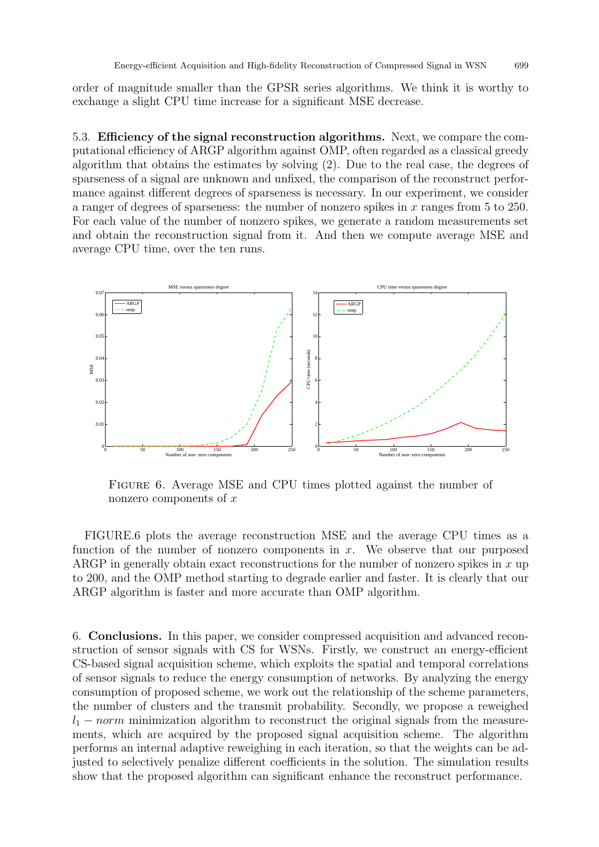order of magnitude smaller than the GPSR series algorithms. We think it is worthy to exchange a slight CPU time increase for a significant MSE decrease.

5.3. Efficiency of the signal reconstruction algorithms. Next, we compare the computational efficiency of ARGP algorithm against OMP, often regarded as a classical greedy algorithm that obtains the estimates by solving (2). Due to the real case, the degrees of sparseness of a signal are unknown and unfixed, the comparison of the reconstruct performance against different degrees of sparseness is necessary. In our experiment, we consider a ranger of degrees of sparseness: the number of nonzero spikes in x ranges from 5 to 250. For each value of the number of nonzero spikes, we generate a random measurements set and obtain the reconstruction signal from it. And then we compute average MSE and average CPU time, over the ten runs.



Figure 6. Average MSE and CPU times plotted against the number of nonzero components of  $x$ 

FIGURE.6 plots the average reconstruction MSE and the average CPU times as a function of the number of nonzero components in  $x$ . We observe that our purposed ARGP in generally obtain exact reconstructions for the number of nonzero spikes in  $x$  up to 200, and the OMP method starting to degrade earlier and faster. It is clearly that our ARGP algorithm is faster and more accurate than OMP algorithm.

6. Conclusions. In this paper, we consider compressed acquisition and advanced reconstruction of sensor signals with CS for WSNs. Firstly, we construct an energy-efficient CS-based signal acquisition scheme, which exploits the spatial and temporal correlations of sensor signals to reduce the energy consumption of networks. By analyzing the energy consumption of proposed scheme, we work out the relationship of the scheme parameters, the number of clusters and the transmit probability. Secondly, we propose a reweighed  $l_1$  – norm minimization algorithm to reconstruct the original signals from the measurements, which are acquired by the proposed signal acquisition scheme. The algorithm performs an internal adaptive reweighing in each iteration, so that the weights can be adjusted to selectively penalize different coefficients in the solution. The simulation results show that the proposed algorithm can significant enhance the reconstruct performance.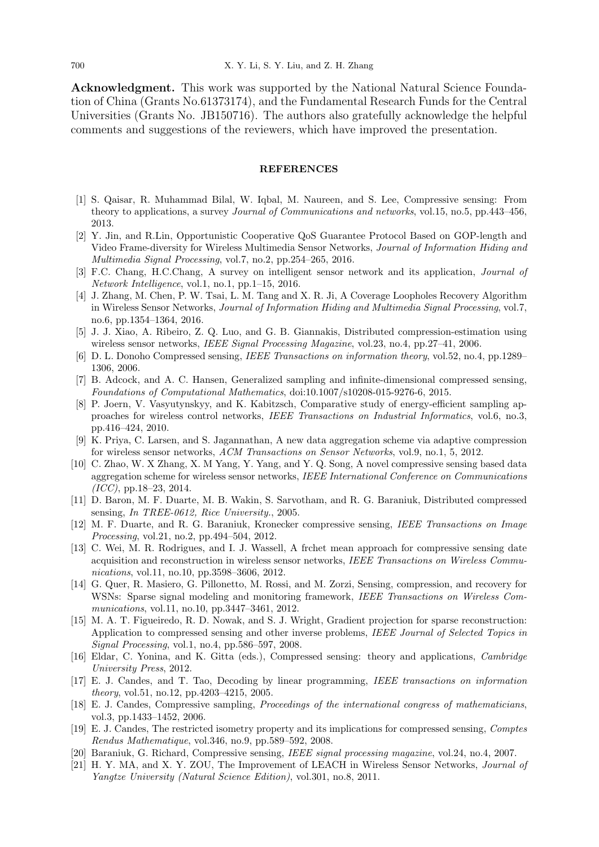Acknowledgment. This work was supported by the National Natural Science Foundation of China (Grants No.61373174), and the Fundamental Research Funds for the Central Universities (Grants No. JB150716). The authors also gratefully acknowledge the helpful comments and suggestions of the reviewers, which have improved the presentation.

#### REFERENCES

- [1] S. Qaisar, R. Muhammad Bilal, W. Iqbal, M. Naureen, and S. Lee, Compressive sensing: From theory to applications, a survey Journal of Communications and networks, vol.15, no.5, pp.443–456, 2013.
- [2] Y. Jin, and R.Lin, Opportunistic Cooperative QoS Guarantee Protocol Based on GOP-length and Video Frame-diversity for Wireless Multimedia Sensor Networks, Journal of Information Hiding and Multimedia Signal Processing, vol.7, no.2, pp.254–265, 2016.
- [3] F.C. Chang, H.C.Chang, A survey on intelligent sensor network and its application, Journal of Network Intelligence, vol.1, no.1, pp.1–15, 2016.
- [4] J. Zhang, M. Chen, P. W. Tsai, L. M. Tang and X. R. Ji, A Coverage Loopholes Recovery Algorithm in Wireless Sensor Networks, Journal of Information Hiding and Multimedia Signal Processing, vol.7, no.6, pp.1354–1364, 2016.
- [5] J. J. Xiao, A. Ribeiro, Z. Q. Luo, and G. B. Giannakis, Distributed compression-estimation using wireless sensor networks, *IEEE Signal Processing Magazine*, vol.23, no.4, pp.27–41, 2006.
- [6] D. L. Donoho Compressed sensing, IEEE Transactions on information theory, vol.52, no.4, pp.1289– 1306, 2006.
- [7] B. Adcock, and A. C. Hansen, Generalized sampling and infinite-dimensional compressed sensing, Foundations of Computational Mathematics, doi:10.1007/s10208-015-9276-6, 2015.
- [8] P. Joern, V. Vasyutynskyy, and K. Kabitzsch, Comparative study of energy-efficient sampling approaches for wireless control networks, IEEE Transactions on Industrial Informatics, vol.6, no.3, pp.416–424, 2010.
- [9] K. Priya, C. Larsen, and S. Jagannathan, A new data aggregation scheme via adaptive compression for wireless sensor networks, ACM Transactions on Sensor Networks, vol.9, no.1, 5, 2012.
- [10] C. Zhao, W. X Zhang, X. M Yang, Y. Yang, and Y. Q. Song, A novel compressive sensing based data aggregation scheme for wireless sensor networks, IEEE International Conference on Communications  $(ICC)$ , pp.18–23, 2014.
- [11] D. Baron, M. F. Duarte, M. B. Wakin, S. Sarvotham, and R. G. Baraniuk, Distributed compressed sensing, In TREE-0612, Rice University., 2005.
- [12] M. F. Duarte, and R. G. Baraniuk, Kronecker compressive sensing, IEEE Transactions on Image Processing, vol.21, no.2, pp.494–504, 2012.
- [13] C. Wei, M. R. Rodrigues, and I. J. Wassell, A frchet mean approach for compressive sensing date acquisition and reconstruction in wireless sensor networks, IEEE Transactions on Wireless Communications, vol.11, no.10, pp.3598–3606, 2012.
- [14] G. Quer, R. Masiero, G. Pillonetto, M. Rossi, and M. Zorzi, Sensing, compression, and recovery for WSNs: Sparse signal modeling and monitoring framework, IEEE Transactions on Wireless Communications, vol.11, no.10, pp.3447–3461, 2012.
- [15] M. A. T. Figueiredo, R. D. Nowak, and S. J. Wright, Gradient projection for sparse reconstruction: Application to compressed sensing and other inverse problems, IEEE Journal of Selected Topics in Signal Processing, vol.1, no.4, pp.586–597, 2008.
- [16] Eldar, C. Yonina, and K. Gitta (eds.), Compressed sensing: theory and applications, Cambridge University Press, 2012.
- [17] E. J. Candes, and T. Tao, Decoding by linear programming, IEEE transactions on information theory, vol.51, no.12, pp.4203–4215, 2005.
- [18] E. J. Candes, Compressive sampling, Proceedings of the international congress of mathematicians, vol.3, pp.1433–1452, 2006.
- [19] E. J. Candes, The restricted isometry property and its implications for compressed sensing, Comptes Rendus Mathematique, vol.346, no.9, pp.589–592, 2008.
- [20] Baraniuk, G. Richard, Compressive sensing, IEEE signal processing magazine, vol.24, no.4, 2007.
- [21] H. Y. MA, and X. Y. ZOU, The Improvement of LEACH in Wireless Sensor Networks, Journal of Yangtze University (Natural Science Edition), vol.301, no.8, 2011.